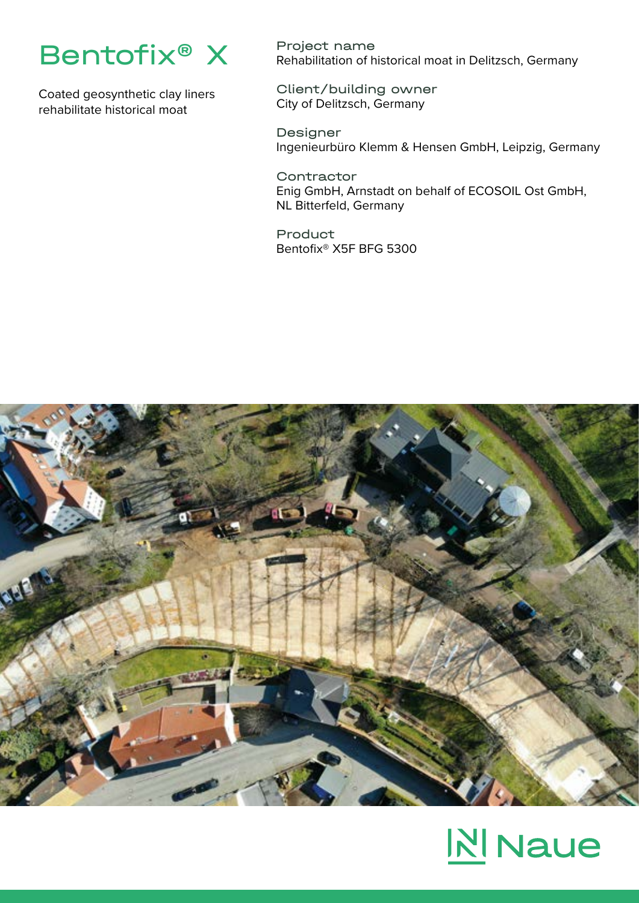

Coated geosynthetic clay liners rehabilitate historical moat

Project name Rehabilitation of historical moat in Delitzsch, Germany

Client/building owner City of Delitzsch, Germany

Designer Ingenieurbüro Klemm & Hensen GmbH, Leipzig, Germany

**Contractor** Enig GmbH, Arnstadt on behalf of ECOSOIL Ost GmbH, NL Bitterfeld, Germany

Product Bentofix® X5F BFG 5300



## **N** Naue